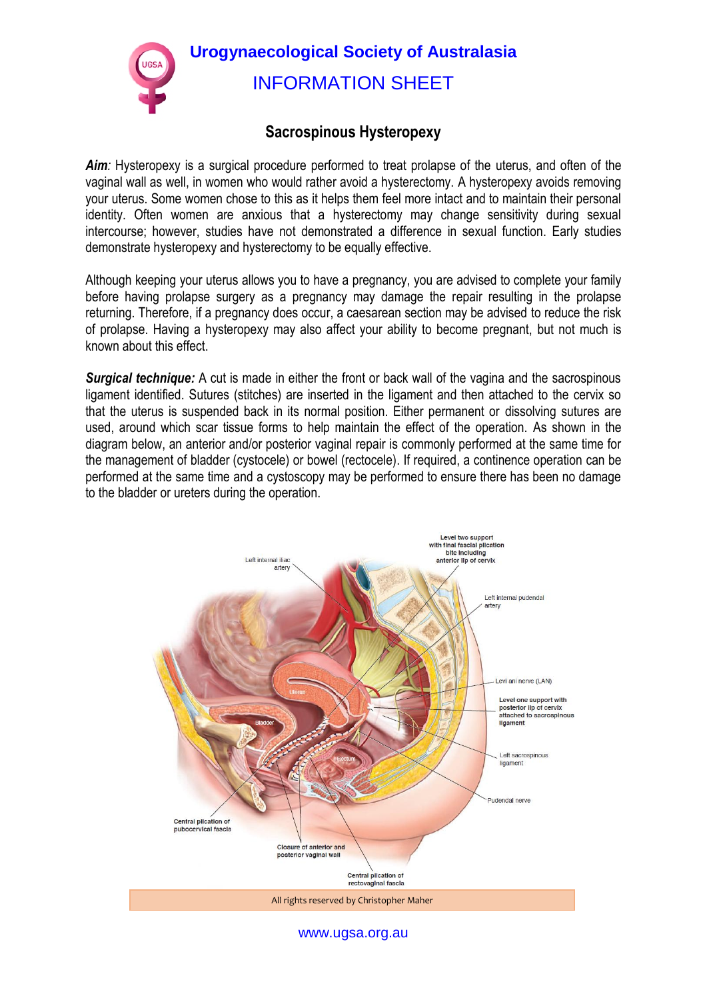**Urogynaecological Society of Australasia**  INFORMATION SHEET

## **Sacrospinous Hysteropexy**

Aim: Hysteropexy is a surgical procedure performed to treat prolapse of the uterus, and often of the vaginal wall as well, in women who would rather avoid a hysterectomy. A hysteropexy avoids removing your uterus. Some women chose to this as it helps them feel more intact and to maintain their personal identity. Often women are anxious that a hysterectomy may change sensitivity during sexual intercourse; however, studies have not demonstrated a difference in sexual function. Early studies demonstrate hysteropexy and hysterectomy to be equally effective.

Although keeping your uterus allows you to have a pregnancy, you are advised to complete your family before having prolapse surgery as a pregnancy may damage the repair resulting in the prolapse returning. Therefore, if a pregnancy does occur, a caesarean section may be advised to reduce the risk of prolapse. Having a hysteropexy may also affect your ability to become pregnant, but not much is known about this effect.

**Surgical technique:** A cut is made in either the front or back wall of the vagina and the sacrospinous ligament identified. Sutures (stitches) are inserted in the ligament and then attached to the cervix so that the uterus is suspended back in its normal position. Either permanent or dissolving sutures are used, around which scar tissue forms to help maintain the effect of the operation. As shown in the diagram below, an anterior and/or posterior vaginal repair is commonly performed at the same time for the management of bladder (cystocele) or bowel (rectocele). If required, a continence operation can be performed at the same time and a cystoscopy may be performed to ensure there has been no damage to the bladder or ureters during the operation.



www.ugsa.org.au